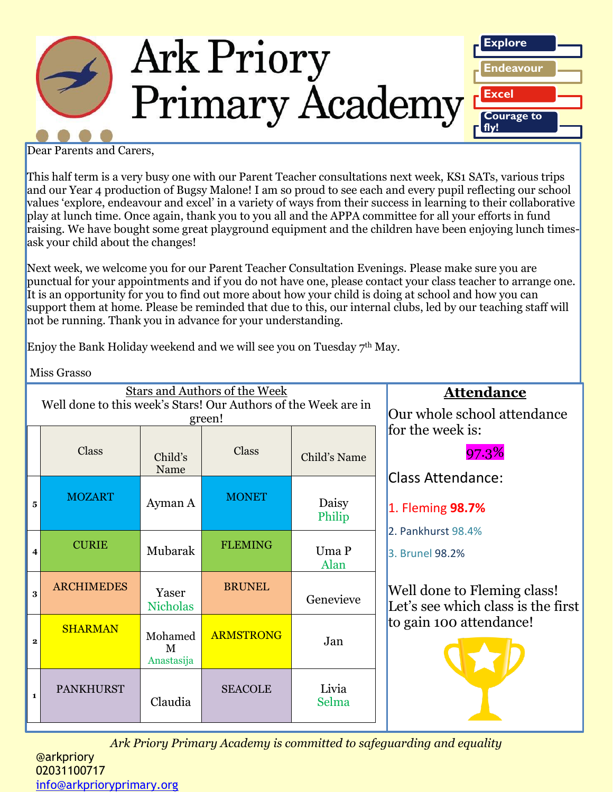

Dear Parents and Carers,

This half term is a very busy one with our Parent Teacher consultations next week, KS1 SATs, various trips and our Year 4 production of Bugsy Malone! I am so proud to see each and every pupil reflecting our school values 'explore, endeavour and excel' in a variety of ways from their success in learning to their collaborative play at lunch time. Once again, thank you to you all and the APPA committee for all your efforts in fund raising. We have bought some great playground equipment and the children have been enjoying lunch timesask your child about the changes!

Next week, we welcome you for our Parent Teacher Consultation Evenings. Please make sure you are punctual for your appointments and if you do not have one, please contact your class teacher to arrange one. It is an opportunity for you to find out more about how your child is doing at school and how you can support them at home. Please be reminded that due to this, our internal clubs, led by our teaching staff will not be running. Thank you in advance for your understanding.

Enjoy the Bank Holiday weekend and we will see you on Tuesday 7<sup>th</sup> May.

Miss Grasso

| <b>Stars and Authors of the Week</b><br>Well done to this week's Stars! Our Authors of the Week are in |                   |                            |                  |                 | <b>Attendance</b>                                                                                                                                                                     |
|--------------------------------------------------------------------------------------------------------|-------------------|----------------------------|------------------|-----------------|---------------------------------------------------------------------------------------------------------------------------------------------------------------------------------------|
| green!                                                                                                 |                   |                            |                  |                 | Our whole school attendance<br>for the week is:                                                                                                                                       |
|                                                                                                        | <b>Class</b>      | Child's<br>Name            | Class            | Child's Name    | 97.3%                                                                                                                                                                                 |
| 5                                                                                                      | <b>MOZART</b>     | Ayman A                    | <b>MONET</b>     | Daisy<br>Philip | <b>Class Attendance:</b><br>1. Fleming 98.7%<br>2. Pankhurst 98.4%<br>3. Brunel 98.2%<br>Well done to Fleming class!<br>Let's see which class is the first<br>to gain 100 attendance! |
| 4                                                                                                      | <b>CURIE</b>      | Mubarak                    | <b>FLEMING</b>   | Uma P<br>Alan   |                                                                                                                                                                                       |
| 3                                                                                                      | <b>ARCHIMEDES</b> | Yaser<br><b>Nicholas</b>   | <b>BRUNEL</b>    | Genevieve       |                                                                                                                                                                                       |
| $\mathbf{2}$                                                                                           | <b>SHARMAN</b>    | Mohamed<br>M<br>Anastasija | <b>ARMSTRONG</b> | Jan             |                                                                                                                                                                                       |
| $\mathbf{1}$                                                                                           | <b>PANKHURST</b>  | Claudia                    | <b>SEACOLE</b>   | Livia<br>Selma  |                                                                                                                                                                                       |

*Ark Priory Primary Academy is committed to safeguarding and equality* 

@arkpriory 02031100717 [info@arkprioryprimary.org](mailto:info@arkprioryprimary.org)